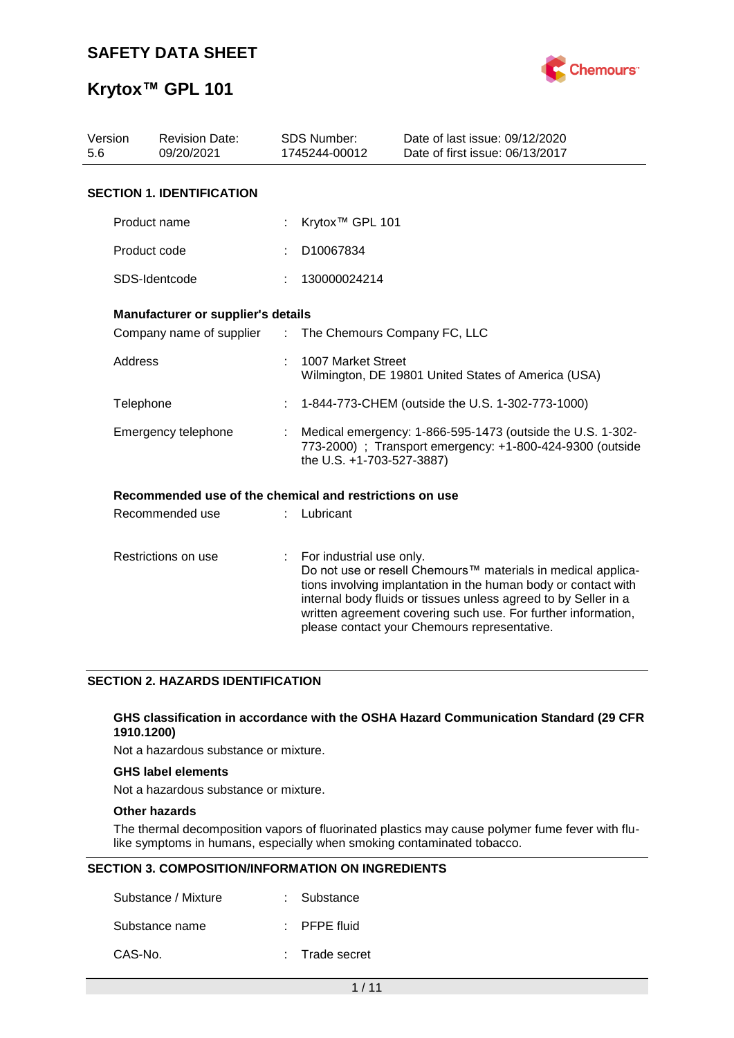

# **Krytox™ GPL 101**

| Version<br>5.6 | <b>Revision Date:</b><br>09/20/2021                     |                | <b>SDS Number:</b><br>1745244-00012                                                                                                                  | Date of last issue: 09/12/2020<br>Date of first issue: 06/13/2017                                                                                                                                                                                                                                                  |
|----------------|---------------------------------------------------------|----------------|------------------------------------------------------------------------------------------------------------------------------------------------------|--------------------------------------------------------------------------------------------------------------------------------------------------------------------------------------------------------------------------------------------------------------------------------------------------------------------|
|                | <b>SECTION 1. IDENTIFICATION</b>                        |                |                                                                                                                                                      |                                                                                                                                                                                                                                                                                                                    |
|                | Product name                                            |                | Krytox <sup>™</sup> GPL 101                                                                                                                          |                                                                                                                                                                                                                                                                                                                    |
|                | Product code                                            |                | D10067834                                                                                                                                            |                                                                                                                                                                                                                                                                                                                    |
|                | SDS-Identcode                                           |                | 130000024214                                                                                                                                         |                                                                                                                                                                                                                                                                                                                    |
|                | Manufacturer or supplier's details                      |                |                                                                                                                                                      |                                                                                                                                                                                                                                                                                                                    |
|                | Company name of supplier                                | $\mathbb{R}^n$ | The Chemours Company FC, LLC                                                                                                                         |                                                                                                                                                                                                                                                                                                                    |
| Address        |                                                         |                | 1007 Market Street                                                                                                                                   | Wilmington, DE 19801 United States of America (USA)                                                                                                                                                                                                                                                                |
| Telephone      |                                                         |                |                                                                                                                                                      | 1-844-773-CHEM (outside the U.S. 1-302-773-1000)                                                                                                                                                                                                                                                                   |
|                | Emergency telephone                                     |                | Medical emergency: 1-866-595-1473 (outside the U.S. 1-302-<br>773-2000) ; Transport emergency: +1-800-424-9300 (outside<br>the U.S. +1-703-527-3887) |                                                                                                                                                                                                                                                                                                                    |
|                | Recommended use of the chemical and restrictions on use |                |                                                                                                                                                      |                                                                                                                                                                                                                                                                                                                    |
|                | Recommended use                                         |                | Lubricant                                                                                                                                            |                                                                                                                                                                                                                                                                                                                    |
|                | Restrictions on use                                     | ÷.             | For industrial use only.                                                                                                                             | Do not use or resell Chemours™ materials in medical applica-<br>tions involving implantation in the human body or contact with<br>internal body fluids or tissues unless agreed to by Seller in a<br>written agreement covering such use. For further information,<br>please contact your Chemours representative. |

### **SECTION 2. HAZARDS IDENTIFICATION**

### **GHS classification in accordance with the OSHA Hazard Communication Standard (29 CFR 1910.1200)**

Not a hazardous substance or mixture.

### **GHS label elements**

Not a hazardous substance or mixture.

### **Other hazards**

The thermal decomposition vapors of fluorinated plastics may cause polymer fume fever with flulike symptoms in humans, especially when smoking contaminated tobacco.

### **SECTION 3. COMPOSITION/INFORMATION ON INGREDIENTS**

| Substance / Mixture | : Substance             |
|---------------------|-------------------------|
| Substance name      | $\therefore$ PFPE fluid |
| CAS-No.             | : Trade secret          |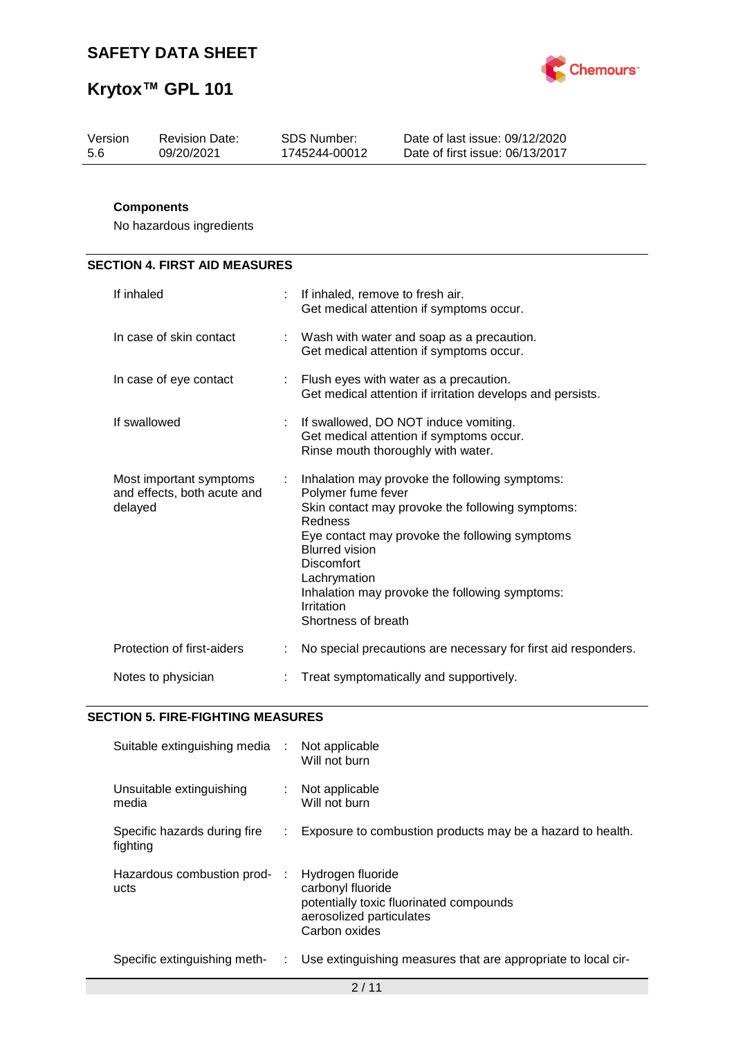

| Version | <b>Revision Date:</b> | SDS Number:   | Date of last issue: 09/12/2020  |
|---------|-----------------------|---------------|---------------------------------|
| 5.6     | 09/20/2021            | 1745244-00012 | Date of first issue: 06/13/2017 |
|         |                       |               |                                 |

### **Components**

No hazardous ingredients

# **SECTION 4. FIRST AID MEASURES**

| If inhaled                                                        |    | If inhaled, remove to fresh air.<br>Get medical attention if symptoms occur.                                                                                                                                                                                                                                                               |
|-------------------------------------------------------------------|----|--------------------------------------------------------------------------------------------------------------------------------------------------------------------------------------------------------------------------------------------------------------------------------------------------------------------------------------------|
| In case of skin contact                                           |    | Wash with water and soap as a precaution.<br>Get medical attention if symptoms occur.                                                                                                                                                                                                                                                      |
| In case of eye contact                                            |    | : Flush eyes with water as a precaution.<br>Get medical attention if irritation develops and persists.                                                                                                                                                                                                                                     |
| If swallowed                                                      | ÷  | If swallowed, DO NOT induce vomiting.<br>Get medical attention if symptoms occur.<br>Rinse mouth thoroughly with water.                                                                                                                                                                                                                    |
| Most important symptoms<br>and effects, both acute and<br>delayed | ÷. | Inhalation may provoke the following symptoms:<br>Polymer fume fever<br>Skin contact may provoke the following symptoms:<br>Redness<br>Eye contact may provoke the following symptoms<br><b>Blurred vision</b><br><b>Discomfort</b><br>Lachrymation<br>Inhalation may provoke the following symptoms:<br>Irritation<br>Shortness of breath |
| Protection of first-aiders                                        |    | No special precautions are necessary for first aid responders.                                                                                                                                                                                                                                                                             |
| Notes to physician                                                |    | Treat symptomatically and supportively.                                                                                                                                                                                                                                                                                                    |

### **SECTION 5. FIRE-FIGHTING MEASURES**

| Suitable extinguishing media :           |      | Not applicable<br>Will not burn                                                                                                |
|------------------------------------------|------|--------------------------------------------------------------------------------------------------------------------------------|
| Unsuitable extinguishing<br>media        | ÷.   | Not applicable<br>Will not burn                                                                                                |
| Specific hazards during fire<br>fighting |      | Exposure to combustion products may be a hazard to health.                                                                     |
| Hazardous combustion prod-<br>ucts       |      | Hydrogen fluoride<br>carbonyl fluoride<br>potentially toxic fluorinated compounds<br>aerosolized particulates<br>Carbon oxides |
| Specific extinguishing meth-             | t in | Use extinguishing measures that are appropriate to local cir-                                                                  |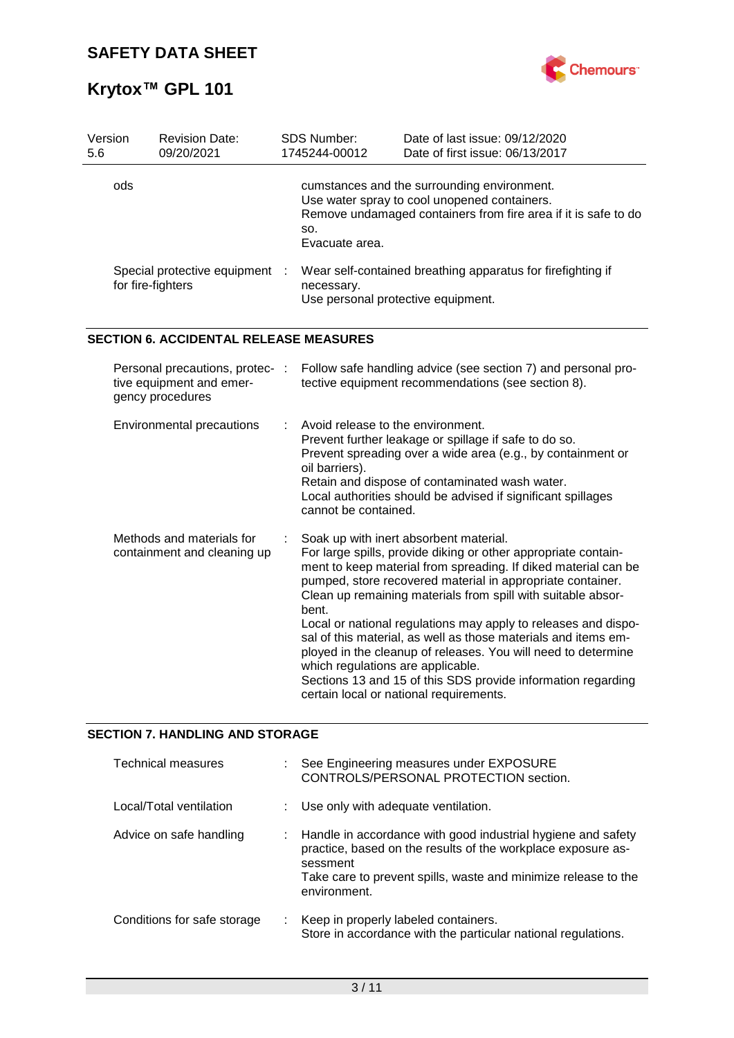

| Version<br>5.6 | <b>Revision Date:</b><br>09/20/2021                                             | <b>SDS Number:</b><br>1745244-00012                                         | Date of last issue: 09/12/2020<br>Date of first issue: 06/13/2017                                                                                                                                                                                                                                                                                                                                                                                                                                                                                                                                                        |
|----------------|---------------------------------------------------------------------------------|-----------------------------------------------------------------------------|--------------------------------------------------------------------------------------------------------------------------------------------------------------------------------------------------------------------------------------------------------------------------------------------------------------------------------------------------------------------------------------------------------------------------------------------------------------------------------------------------------------------------------------------------------------------------------------------------------------------------|
| ods            |                                                                                 | SO.<br>Evacuate area.                                                       | cumstances and the surrounding environment.<br>Use water spray to cool unopened containers.<br>Remove undamaged containers from fire area if it is safe to do                                                                                                                                                                                                                                                                                                                                                                                                                                                            |
|                | Special protective equipment<br>for fire-fighters                               | necessary.<br>Use personal protective equipment.                            | Wear self-contained breathing apparatus for firefighting if                                                                                                                                                                                                                                                                                                                                                                                                                                                                                                                                                              |
|                | <b>SECTION 6. ACCIDENTAL RELEASE MEASURES</b>                                   |                                                                             |                                                                                                                                                                                                                                                                                                                                                                                                                                                                                                                                                                                                                          |
|                | Personal precautions, protec- :<br>tive equipment and emer-<br>gency procedures |                                                                             | Follow safe handling advice (see section 7) and personal pro-<br>tective equipment recommendations (see section 8).                                                                                                                                                                                                                                                                                                                                                                                                                                                                                                      |
|                | Environmental precautions                                                       | Avoid release to the environment.<br>oil barriers).<br>cannot be contained. | Prevent further leakage or spillage if safe to do so.<br>Prevent spreading over a wide area (e.g., by containment or<br>Retain and dispose of contaminated wash water.<br>Local authorities should be advised if significant spillages                                                                                                                                                                                                                                                                                                                                                                                   |
|                | Methods and materials for<br>containment and cleaning up                        | bent.<br>which regulations are applicable.                                  | Soak up with inert absorbent material.<br>For large spills, provide diking or other appropriate contain-<br>ment to keep material from spreading. If diked material can be<br>pumped, store recovered material in appropriate container.<br>Clean up remaining materials from spill with suitable absor-<br>Local or national regulations may apply to releases and dispo-<br>sal of this material, as well as those materials and items em-<br>ployed in the cleanup of releases. You will need to determine<br>Sections 13 and 15 of this SDS provide information regarding<br>certain local or national requirements. |

# **SECTION 7. HANDLING AND STORAGE**

| <b>Technical measures</b>   |    | See Engineering measures under EXPOSURE<br>CONTROLS/PERSONAL PROTECTION section.                                                                                                                                             |
|-----------------------------|----|------------------------------------------------------------------------------------------------------------------------------------------------------------------------------------------------------------------------------|
| Local/Total ventilation     |    | : Use only with adequate ventilation.                                                                                                                                                                                        |
| Advice on safe handling     |    | : Handle in accordance with good industrial hygiene and safety<br>practice, based on the results of the workplace exposure as-<br>sessment<br>Take care to prevent spills, waste and minimize release to the<br>environment. |
| Conditions for safe storage | ÷. | Keep in properly labeled containers.<br>Store in accordance with the particular national regulations.                                                                                                                        |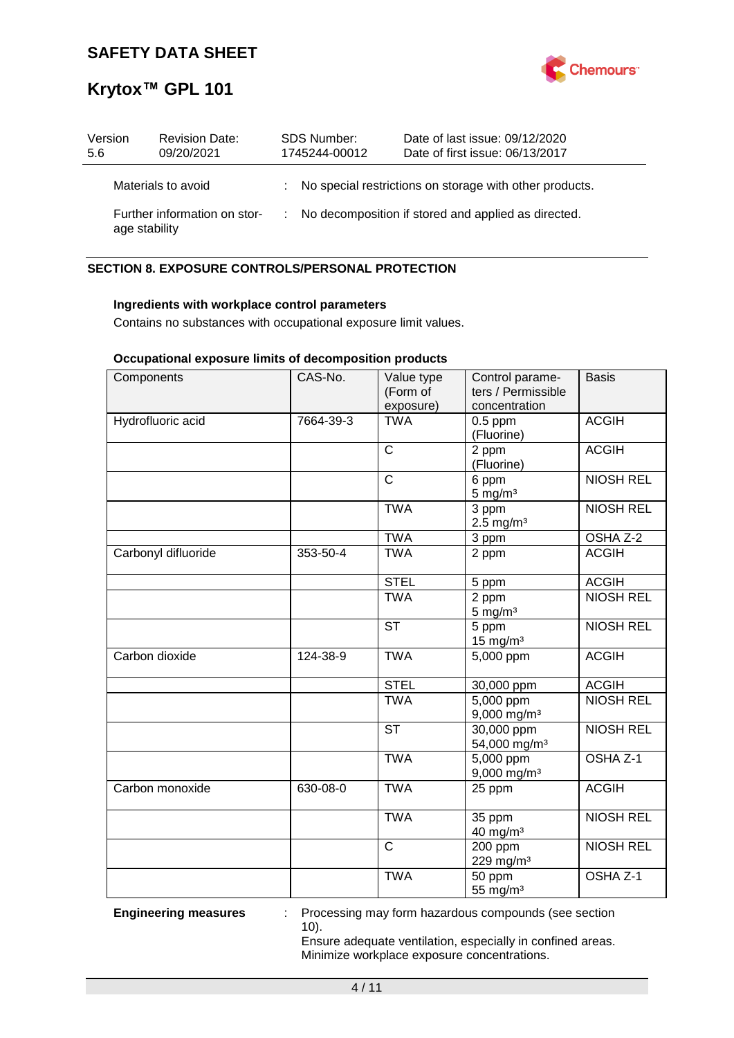

| Version<br>5.6 | <b>Revision Date:</b><br>09/20/2021           |  | <b>SDS Number:</b><br>1745244-00012 | Date of last issue: 09/12/2020<br>Date of first issue: 06/13/2017 |
|----------------|-----------------------------------------------|--|-------------------------------------|-------------------------------------------------------------------|
|                | Materials to avoid                            |  |                                     | : No special restrictions on storage with other products.         |
|                | Further information on stor-<br>age stability |  |                                     | : No decomposition if stored and applied as directed.             |

## **SECTION 8. EXPOSURE CONTROLS/PERSONAL PROTECTION**

### **Ingredients with workplace control parameters**

Contains no substances with occupational exposure limit values.

### **Occupational exposure limits of decomposition products**

| Components          | CAS-No.   | Value type<br>(Form of<br>exposure) | Control parame-<br>ters / Permissible<br>concentration | <b>Basis</b>        |
|---------------------|-----------|-------------------------------------|--------------------------------------------------------|---------------------|
| Hydrofluoric acid   | 7664-39-3 | <b>TWA</b>                          | $0.5$ ppm<br>(Fluorine)                                | <b>ACGIH</b>        |
|                     |           | $\mathsf{C}$                        | 2 ppm<br>(Fluorine)                                    | <b>ACGIH</b>        |
|                     |           | $\mathsf{C}$                        | 6 ppm<br>$5$ mg/m <sup>3</sup>                         | <b>NIOSH REL</b>    |
|                     |           | <b>TWA</b>                          | 3 ppm<br>$2.5 \text{ mg/m}^3$                          | <b>NIOSH REL</b>    |
|                     |           | <b>TWA</b>                          | 3 ppm                                                  | OSHA Z-2            |
| Carbonyl difluoride | 353-50-4  | <b>TWA</b>                          | 2 ppm                                                  | <b>ACGIH</b>        |
|                     |           | <b>STEL</b>                         | 5 ppm                                                  | <b>ACGIH</b>        |
|                     |           | <b>TWA</b>                          | 2 ppm<br>$5 \text{ mg/m}^3$                            | <b>NIOSH REL</b>    |
|                     |           | <b>ST</b>                           | 5 ppm<br>$15$ mg/m <sup>3</sup>                        | <b>NIOSH REL</b>    |
| Carbon dioxide      | 124-38-9  | <b>TWA</b>                          | 5,000 ppm                                              | <b>ACGIH</b>        |
|                     |           | <b>STEL</b>                         | 30,000 ppm                                             | <b>ACGIH</b>        |
|                     |           | <b>TWA</b>                          | $\overline{5,000}$ ppm<br>9,000 mg/m <sup>3</sup>      | <b>NIOSH REL</b>    |
|                     |           | <b>ST</b>                           | 30,000 ppm<br>54,000 mg/m <sup>3</sup>                 | <b>NIOSH REL</b>    |
|                     |           | <b>TWA</b>                          | 5,000 ppm<br>$9,000$ mg/m <sup>3</sup>                 | OSHA <sub>Z-1</sub> |
| Carbon monoxide     | 630-08-0  | <b>TWA</b>                          | 25 ppm                                                 | <b>ACGIH</b>        |
|                     |           | <b>TWA</b>                          | 35 ppm<br>40 mg/m <sup>3</sup>                         | <b>NIOSH REL</b>    |
|                     |           | $\overline{\text{c}}$               | 200 ppm<br>229 mg/m <sup>3</sup>                       | <b>NIOSH REL</b>    |
|                     |           | <b>TWA</b>                          | 50 ppm<br>55 mg/m <sup>3</sup>                         | OSHA <sub>Z-1</sub> |

**Engineering measures** : Processing may form hazardous compounds (see section 10).

> Ensure adequate ventilation, especially in confined areas. Minimize workplace exposure concentrations.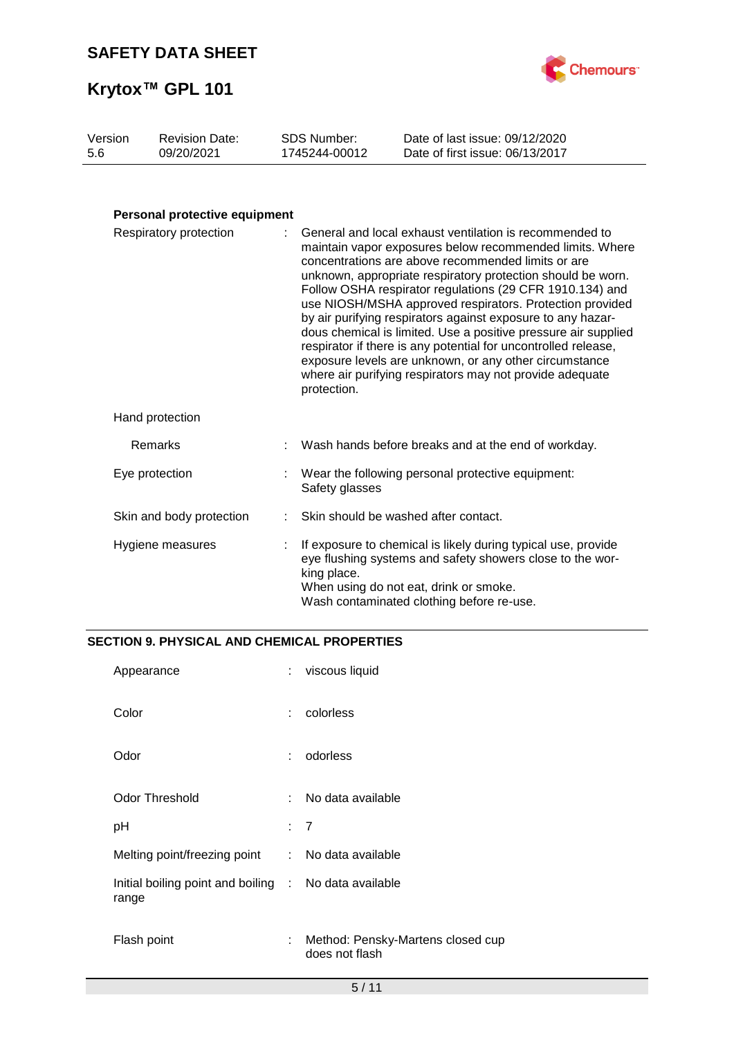

| Version | <b>Revision Date:</b> | SDS Number:   | Date of last issue: 09/12/2020  |
|---------|-----------------------|---------------|---------------------------------|
| -5.6    | 09/20/2021            | 1745244-00012 | Date of first issue: 06/13/2017 |

## **Personal protective equipment**

| Respiratory protection   |  | General and local exhaust ventilation is recommended to<br>maintain vapor exposures below recommended limits. Where<br>concentrations are above recommended limits or are<br>unknown, appropriate respiratory protection should be worn.<br>Follow OSHA respirator regulations (29 CFR 1910.134) and<br>use NIOSH/MSHA approved respirators. Protection provided<br>by air purifying respirators against exposure to any hazar-<br>dous chemical is limited. Use a positive pressure air supplied<br>respirator if there is any potential for uncontrolled release,<br>exposure levels are unknown, or any other circumstance<br>where air purifying respirators may not provide adequate<br>protection. |  |
|--------------------------|--|----------------------------------------------------------------------------------------------------------------------------------------------------------------------------------------------------------------------------------------------------------------------------------------------------------------------------------------------------------------------------------------------------------------------------------------------------------------------------------------------------------------------------------------------------------------------------------------------------------------------------------------------------------------------------------------------------------|--|
| Hand protection          |  |                                                                                                                                                                                                                                                                                                                                                                                                                                                                                                                                                                                                                                                                                                          |  |
| Remarks                  |  | Wash hands before breaks and at the end of workday.                                                                                                                                                                                                                                                                                                                                                                                                                                                                                                                                                                                                                                                      |  |
| Eye protection           |  | : Wear the following personal protective equipment:<br>Safety glasses                                                                                                                                                                                                                                                                                                                                                                                                                                                                                                                                                                                                                                    |  |
| Skin and body protection |  | Skin should be washed after contact.                                                                                                                                                                                                                                                                                                                                                                                                                                                                                                                                                                                                                                                                     |  |
| Hygiene measures         |  | If exposure to chemical is likely during typical use, provide<br>eye flushing systems and safety showers close to the wor-<br>king place.<br>When using do not eat, drink or smoke.<br>Wash contaminated clothing before re-use.                                                                                                                                                                                                                                                                                                                                                                                                                                                                         |  |

### **SECTION 9. PHYSICAL AND CHEMICAL PROPERTIES**

| Appearance                                                     | ÷   | viscous liquid                                      |
|----------------------------------------------------------------|-----|-----------------------------------------------------|
| Color                                                          | ÷   | colorless                                           |
| Odor                                                           | ÷   | odorless                                            |
| <b>Odor Threshold</b>                                          | ٠.  | No data available                                   |
| рH                                                             | : 7 |                                                     |
| Melting point/freezing point                                   |     | : No data available                                 |
| Initial boiling point and boiling : No data available<br>range |     |                                                     |
| Flash point                                                    | ÷   | Method: Pensky-Martens closed cup<br>does not flash |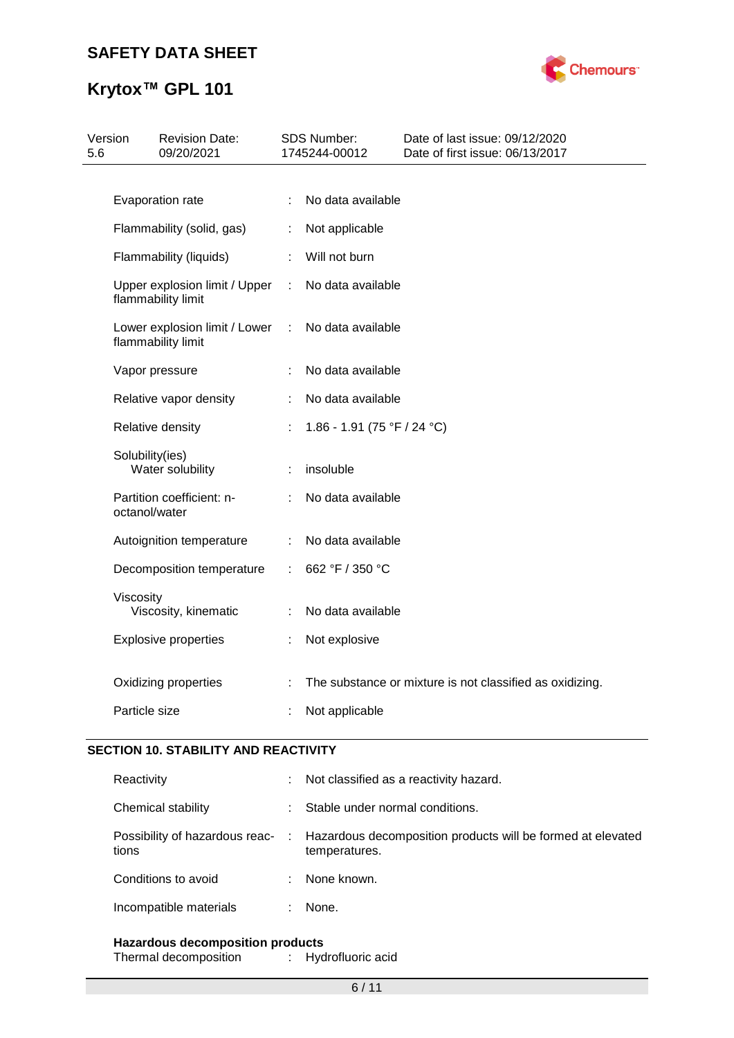# **Krytox™ GPL 101**



| Version<br>5.6 |                                                     | <b>Revision Date:</b><br>09/20/2021                 |    | <b>SDS Number:</b><br>1745244-00012 | Date of last issue: 09/12/2020<br>Date of first issue: 06/13/2017 |
|----------------|-----------------------------------------------------|-----------------------------------------------------|----|-------------------------------------|-------------------------------------------------------------------|
|                |                                                     |                                                     |    |                                     |                                                                   |
|                | Evaporation rate                                    |                                                     | ÷  | No data available                   |                                                                   |
|                | Flammability (solid, gas)                           |                                                     | ÷. | Not applicable                      |                                                                   |
|                | Flammability (liquids)                              |                                                     |    | Will not burn                       |                                                                   |
|                | Upper explosion limit / Upper<br>flammability limit |                                                     | ÷  | No data available                   |                                                                   |
|                |                                                     | Lower explosion limit / Lower<br>flammability limit |    | No data available                   |                                                                   |
|                |                                                     | Vapor pressure                                      | ÷  | No data available                   |                                                                   |
|                |                                                     | Relative vapor density                              |    | No data available                   |                                                                   |
|                | Relative density                                    |                                                     |    | 1.86 - 1.91 (75 °F / 24 °C)         |                                                                   |
|                | Solubility(ies)                                     | Water solubility                                    |    | insoluble                           |                                                                   |
|                | octanol/water                                       | Partition coefficient: n-                           |    | No data available                   |                                                                   |
|                |                                                     | Autoignition temperature                            |    | No data available                   |                                                                   |
|                |                                                     | Decomposition temperature                           | ٠  | 662 °F / 350 °C                     |                                                                   |
|                | Viscosity                                           | Viscosity, kinematic                                |    | No data available                   |                                                                   |
|                |                                                     | <b>Explosive properties</b>                         |    | Not explosive                       |                                                                   |
|                |                                                     | Oxidizing properties                                |    |                                     | The substance or mixture is not classified as oxidizing.          |
|                | Particle size                                       |                                                     |    | Not applicable                      |                                                                   |

### **SECTION 10. STABILITY AND REACTIVITY**

| Reactivity             | ÷ | Not classified as a reactivity hazard.                                                                        |
|------------------------|---|---------------------------------------------------------------------------------------------------------------|
| Chemical stability     |   | Stable under normal conditions.                                                                               |
| tions                  |   | Possibility of hazardous reac- : Hazardous decomposition products will be formed at elevated<br>temperatures. |
| Conditions to avoid    |   | None known.                                                                                                   |
| Incompatible materials |   | None.                                                                                                         |
|                        |   |                                                                                                               |

**Hazardous decomposition products** Thermal decomposition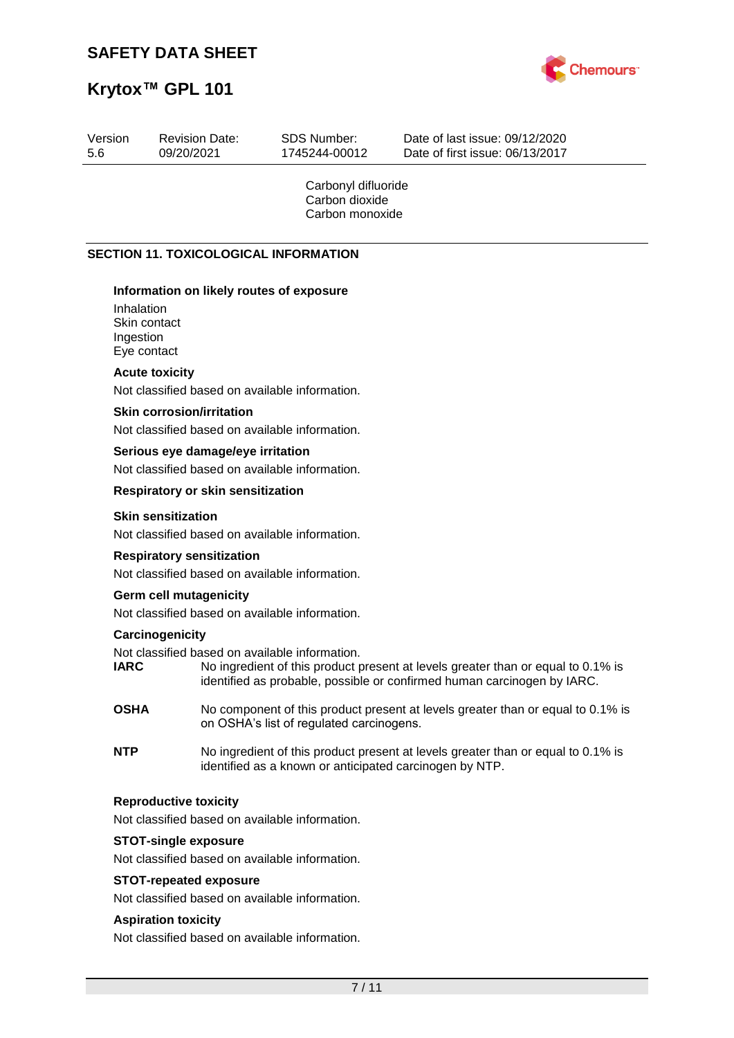

| Version<br>5.6                                                                     | <b>Revision Date:</b><br>09/20/2021                                                | SDS Number:<br>1745244-00012                             | Date of last issue: 09/12/2020<br>Date of first issue: 06/13/2017                                                                                           |
|------------------------------------------------------------------------------------|------------------------------------------------------------------------------------|----------------------------------------------------------|-------------------------------------------------------------------------------------------------------------------------------------------------------------|
|                                                                                    |                                                                                    | Carbonyl difluoride<br>Carbon dioxide<br>Carbon monoxide |                                                                                                                                                             |
|                                                                                    | <b>SECTION 11. TOXICOLOGICAL INFORMATION</b>                                       |                                                          |                                                                                                                                                             |
| Inhalation                                                                         | Information on likely routes of exposure<br>Skin contact                           |                                                          |                                                                                                                                                             |
| Ingestion                                                                          | Eye contact                                                                        |                                                          |                                                                                                                                                             |
|                                                                                    | <b>Acute toxicity</b>                                                              |                                                          |                                                                                                                                                             |
|                                                                                    | Not classified based on available information.<br><b>Skin corrosion/irritation</b> |                                                          |                                                                                                                                                             |
|                                                                                    | Not classified based on available information.                                     |                                                          |                                                                                                                                                             |
|                                                                                    | Serious eye damage/eye irritation                                                  |                                                          |                                                                                                                                                             |
|                                                                                    | Not classified based on available information.                                     |                                                          |                                                                                                                                                             |
|                                                                                    | <b>Respiratory or skin sensitization</b>                                           |                                                          |                                                                                                                                                             |
|                                                                                    | <b>Skin sensitization</b><br>Not classified based on available information.        |                                                          |                                                                                                                                                             |
| <b>Respiratory sensitization</b><br>Not classified based on available information. |                                                                                    |                                                          |                                                                                                                                                             |
|                                                                                    | <b>Germ cell mutagenicity</b><br>Not classified based on available information.    |                                                          |                                                                                                                                                             |
|                                                                                    | Carcinogenicity                                                                    |                                                          |                                                                                                                                                             |
| <b>IARC</b>                                                                        | Not classified based on available information.                                     |                                                          | No ingredient of this product present at levels greater than or equal to 0.1% is<br>identified as probable, possible or confirmed human carcinogen by IARC. |
| <b>OSHA</b>                                                                        |                                                                                    | on OSHA's list of regulated carcinogens.                 | No component of this product present at levels greater than or equal to 0.1% is                                                                             |
| <b>NTP</b>                                                                         |                                                                                    | identified as a known or anticipated carcinogen by NTP.  | No ingredient of this product present at levels greater than or equal to 0.1% is                                                                            |
|                                                                                    | <b>Reproductive toxicity</b><br>Not classified based on available information.     |                                                          |                                                                                                                                                             |
|                                                                                    | <b>STOT-single exposure</b><br>Not classified based on available information.      |                                                          |                                                                                                                                                             |
|                                                                                    | <b>STOT-repeated exposure</b>                                                      |                                                          |                                                                                                                                                             |
|                                                                                    | Not classified based on available information.                                     |                                                          |                                                                                                                                                             |
|                                                                                    | <b>Aspiration toxicity</b><br>Not classified based on available information.       |                                                          |                                                                                                                                                             |
|                                                                                    |                                                                                    | 7/11                                                     |                                                                                                                                                             |
|                                                                                    |                                                                                    |                                                          |                                                                                                                                                             |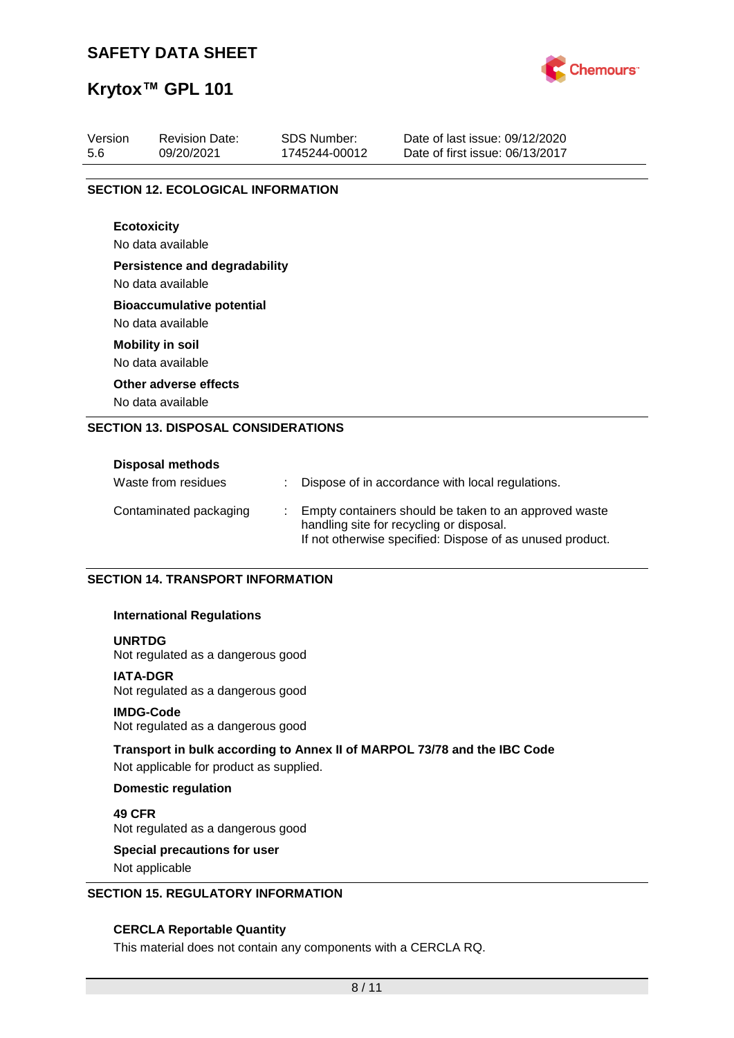

# **Krytox™ GPL 101**

| Version<br>5.6 | <b>Revision Date:</b><br>09/20/2021                       | <b>SDS Number:</b><br>1745244-00012 | Date of last issue: 09/12/2020<br>Date of first issue: 06/13/2017 |
|----------------|-----------------------------------------------------------|-------------------------------------|-------------------------------------------------------------------|
|                | <b>SECTION 12. ECOLOGICAL INFORMATION</b>                 |                                     |                                                                   |
|                | <b>Ecotoxicity</b><br>No data available                   |                                     |                                                                   |
|                | <b>Persistence and degradability</b><br>No data available |                                     |                                                                   |
|                | <b>Bioaccumulative potential</b><br>No data available     |                                     |                                                                   |
|                | <b>Mobility in soil</b><br>No data available              |                                     |                                                                   |
|                | Other adverse effects<br>No data available                |                                     |                                                                   |
|                | <b>SECTION 13. DISPOSAL CONSIDERATIONS</b>                |                                     |                                                                   |
|                | <b>Disposal methods</b>                                   |                                     |                                                                   |

| Waste from residues    | Dispose of in accordance with local regulations.                                                                                                               |
|------------------------|----------------------------------------------------------------------------------------------------------------------------------------------------------------|
| Contaminated packaging | Empty containers should be taken to an approved waste<br>handling site for recycling or disposal.<br>If not otherwise specified: Dispose of as unused product. |

### **SECTION 14. TRANSPORT INFORMATION**

### **International Regulations**

### **UNRTDG**

Not regulated as a dangerous good

### **IATA-DGR**

Not regulated as a dangerous good

### **IMDG-Code**

Not regulated as a dangerous good

### **Transport in bulk according to Annex II of MARPOL 73/78 and the IBC Code**

Not applicable for product as supplied.

### **Domestic regulation**

**49 CFR** Not regulated as a dangerous good

# **Special precautions for user**

Not applicable

### **SECTION 15. REGULATORY INFORMATION**

### **CERCLA Reportable Quantity**

This material does not contain any components with a CERCLA RQ.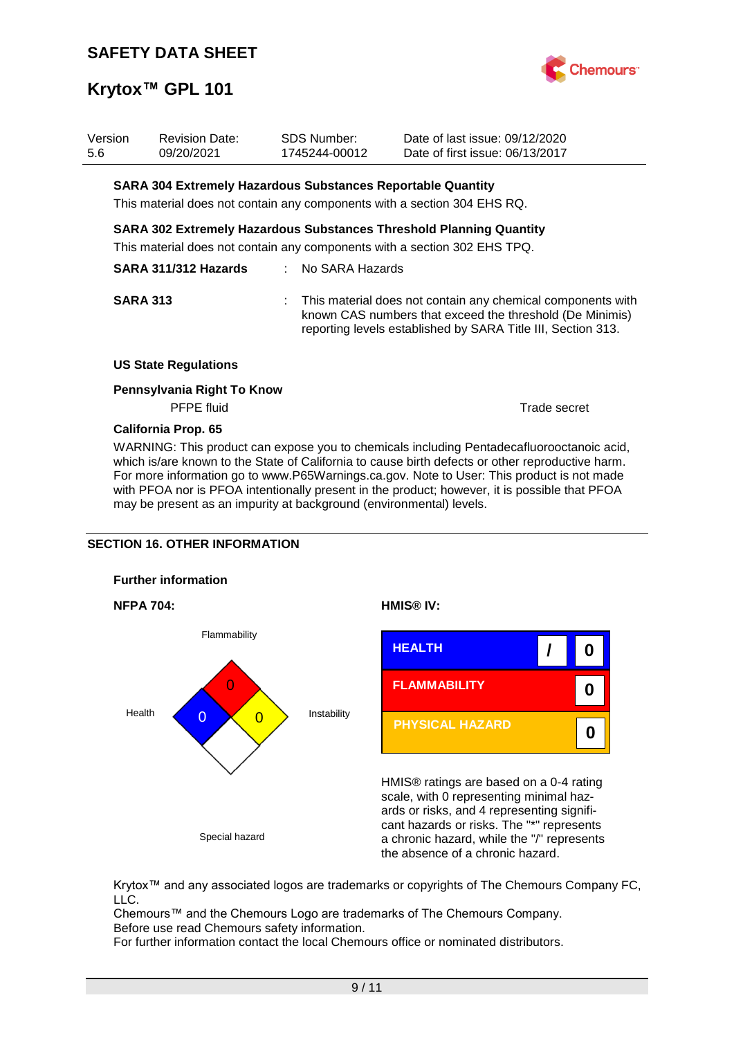

| Version<br>5.6 | <b>Revision Date:</b><br>09/20/2021                                | <b>SDS Number:</b><br>1745244-00012 | Date of last issue: 09/12/2020<br>Date of first issue: 06/13/2017                                                                                                                         |
|----------------|--------------------------------------------------------------------|-------------------------------------|-------------------------------------------------------------------------------------------------------------------------------------------------------------------------------------------|
|                | <b>SARA 304 Extremely Hazardous Substances Reportable Quantity</b> |                                     |                                                                                                                                                                                           |
|                |                                                                    |                                     | This material does not contain any components with a section 304 EHS RQ.                                                                                                                  |
|                |                                                                    |                                     | <b>SARA 302 Extremely Hazardous Substances Threshold Planning Quantity</b>                                                                                                                |
|                |                                                                    |                                     | This material does not contain any components with a section 302 EHS TPQ.                                                                                                                 |
|                | SARA 311/312 Hazards                                               | : No SARA Hazards                   |                                                                                                                                                                                           |
|                | <b>SARA 313</b>                                                    |                                     | : This material does not contain any chemical components with<br>known CAS numbers that exceed the threshold (De Minimis)<br>reporting levels established by SARA Title III, Section 313. |
|                | <b>US State Regulations</b>                                        |                                     |                                                                                                                                                                                           |
|                | Pennsylvania Right To Know<br>PFPE fluid                           |                                     | Trade secret                                                                                                                                                                              |
|                | <b>California Prop. 65</b>                                         |                                     |                                                                                                                                                                                           |

WARNING: This product can expose you to chemicals including Pentadecafluorooctanoic acid, which is/are known to the State of California to cause birth defects or other reproductive harm. For more information go to www.P65Warnings.ca.gov. Note to User: This product is not made with PFOA nor is PFOA intentionally present in the product; however, it is possible that PFOA may be present as an impurity at background (environmental) levels.

### **SECTION 16. OTHER INFORMATION**









HMIS® ratings are based on a 0-4 rating scale, with 0 representing minimal hazards or risks, and 4 representing significant hazards or risks. The "\*" represents a chronic hazard, while the "/" represents the absence of a chronic hazard.

Krytox™ and any associated logos are trademarks or copyrights of The Chemours Company FC, LLC.

Chemours™ and the Chemours Logo are trademarks of The Chemours Company. Before use read Chemours safety information.

For further information contact the local Chemours office or nominated distributors.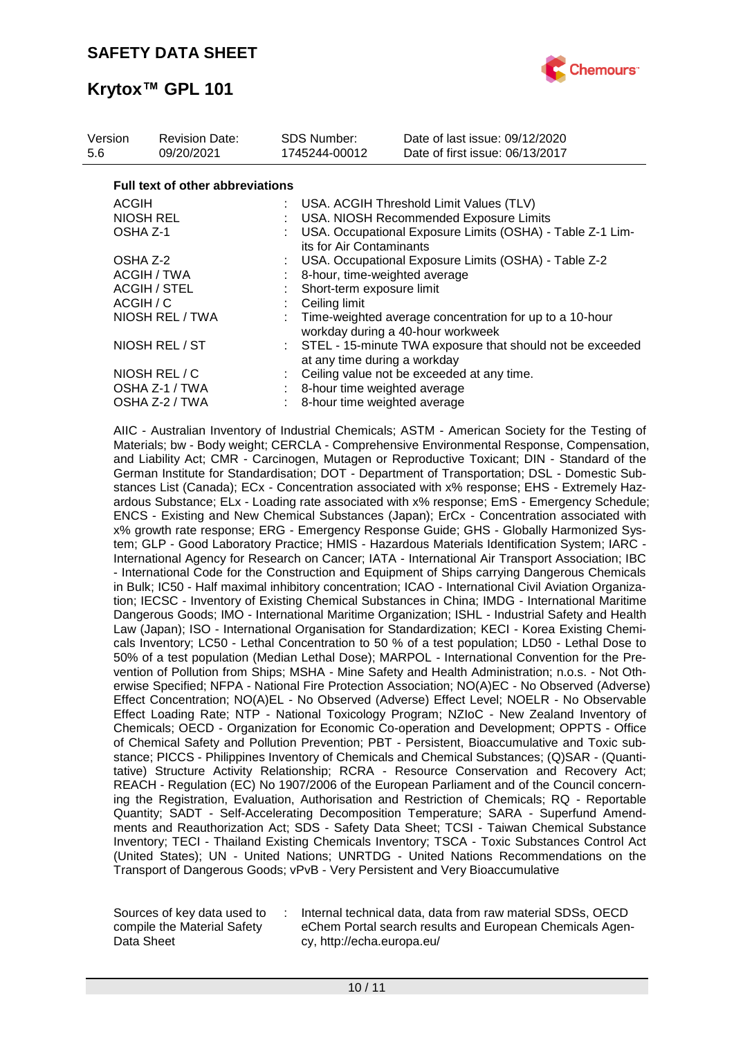

| Version<br>5.6 | <b>Revision Date:</b><br>09/20/2021     | SDS Number:<br>1745244-00012 | Date of last issue: 09/12/2020<br>Date of first issue: 06/13/2017                            |  |  |
|----------------|-----------------------------------------|------------------------------|----------------------------------------------------------------------------------------------|--|--|
|                | <b>Full text of other abbreviations</b> |                              |                                                                                              |  |  |
| <b>ACGIH</b>   |                                         |                              | : USA. ACGIH Threshold Limit Values (TLV)                                                    |  |  |
|                | <b>NIOSH REL</b>                        |                              | USA. NIOSH Recommended Exposure Limits                                                       |  |  |
| OSHA Z-1       |                                         |                              | USA. Occupational Exposure Limits (OSHA) - Table Z-1 Lim-<br>its for Air Contaminants        |  |  |
| OSHA Z-2       |                                         |                              | USA. Occupational Exposure Limits (OSHA) - Table Z-2                                         |  |  |
|                | ACGIH / TWA                             |                              | 8-hour, time-weighted average                                                                |  |  |
|                | <b>ACGIH / STEL</b>                     |                              | Short-term exposure limit                                                                    |  |  |
| ACGIH / C      |                                         | Ceiling limit                |                                                                                              |  |  |
|                | NIOSH REL / TWA                         |                              | Time-weighted average concentration for up to a 10-hour<br>workday during a 40-hour workweek |  |  |
|                | NIOSH REL / ST                          |                              | : STEL - 15-minute TWA exposure that should not be exceeded<br>at any time during a workday  |  |  |
|                | NIOSH REL / C                           |                              | Ceiling value not be exceeded at any time.                                                   |  |  |
|                | OSHA Z-1 / TWA                          |                              | : 8-hour time weighted average                                                               |  |  |
|                | OSHA Z-2 / TWA                          |                              | 8-hour time weighted average                                                                 |  |  |

AIIC - Australian Inventory of Industrial Chemicals; ASTM - American Society for the Testing of Materials; bw - Body weight; CERCLA - Comprehensive Environmental Response, Compensation, and Liability Act; CMR - Carcinogen, Mutagen or Reproductive Toxicant; DIN - Standard of the German Institute for Standardisation; DOT - Department of Transportation; DSL - Domestic Substances List (Canada); ECx - Concentration associated with x% response; EHS - Extremely Hazardous Substance; ELx - Loading rate associated with x% response; EmS - Emergency Schedule; ENCS - Existing and New Chemical Substances (Japan); ErCx - Concentration associated with x% growth rate response; ERG - Emergency Response Guide; GHS - Globally Harmonized System; GLP - Good Laboratory Practice; HMIS - Hazardous Materials Identification System; IARC - International Agency for Research on Cancer; IATA - International Air Transport Association; IBC - International Code for the Construction and Equipment of Ships carrying Dangerous Chemicals in Bulk; IC50 - Half maximal inhibitory concentration; ICAO - International Civil Aviation Organization; IECSC - Inventory of Existing Chemical Substances in China; IMDG - International Maritime Dangerous Goods; IMO - International Maritime Organization; ISHL - Industrial Safety and Health Law (Japan); ISO - International Organisation for Standardization; KECI - Korea Existing Chemicals Inventory; LC50 - Lethal Concentration to 50 % of a test population; LD50 - Lethal Dose to 50% of a test population (Median Lethal Dose); MARPOL - International Convention for the Prevention of Pollution from Ships; MSHA - Mine Safety and Health Administration; n.o.s. - Not Otherwise Specified; NFPA - National Fire Protection Association; NO(A)EC - No Observed (Adverse) Effect Concentration; NO(A)EL - No Observed (Adverse) Effect Level; NOELR - No Observable Effect Loading Rate; NTP - National Toxicology Program; NZIoC - New Zealand Inventory of Chemicals; OECD - Organization for Economic Co-operation and Development; OPPTS - Office of Chemical Safety and Pollution Prevention; PBT - Persistent, Bioaccumulative and Toxic substance; PICCS - Philippines Inventory of Chemicals and Chemical Substances; (Q)SAR - (Quantitative) Structure Activity Relationship; RCRA - Resource Conservation and Recovery Act; REACH - Regulation (EC) No 1907/2006 of the European Parliament and of the Council concerning the Registration, Evaluation, Authorisation and Restriction of Chemicals; RQ - Reportable Quantity; SADT - Self-Accelerating Decomposition Temperature; SARA - Superfund Amendments and Reauthorization Act; SDS - Safety Data Sheet; TCSI - Taiwan Chemical Substance Inventory; TECI - Thailand Existing Chemicals Inventory; TSCA - Toxic Substances Control Act (United States); UN - United Nations; UNRTDG - United Nations Recommendations on the Transport of Dangerous Goods; vPvB - Very Persistent and Very Bioaccumulative

Sources of key data used to compile the Material Safety Data Sheet

: Internal technical data, data from raw material SDSs, OECD eChem Portal search results and European Chemicals Agency, http://echa.europa.eu/